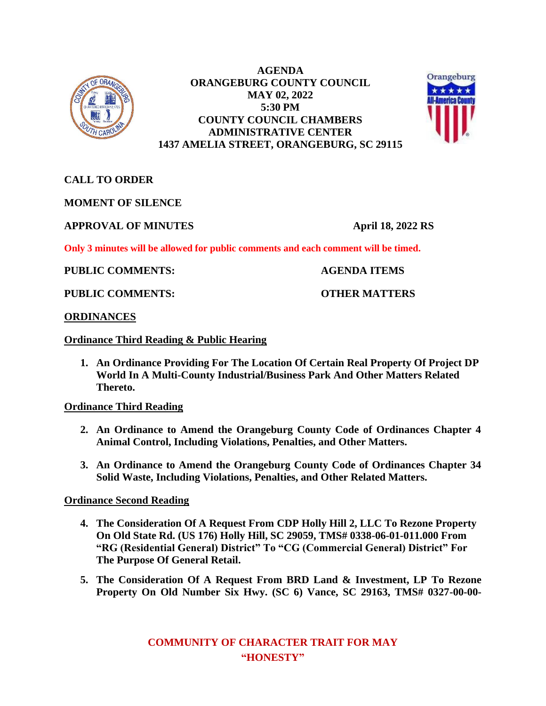

**AGENDA ORANGEBURG COUNTY COUNCIL MAY 02, 2022 5:30 PM COUNTY COUNCIL CHAMBERS ADMINISTRATIVE CENTER 1437 AMELIA STREET, ORANGEBURG, SC 29115**



**CALL TO ORDER**

**MOMENT OF SILENCE**

**APPROVAL OF MINUTES April 18, 2022 RS**

**Only 3 minutes will be allowed for public comments and each comment will be timed.**

**PUBLIC COMMENTS: AGENDA ITEMS**

**PUBLIC COMMENTS: COMMENTS:** OTHER MATTERS

**ORDINANCES**

## **Ordinance Third Reading & Public Hearing**

**1. An Ordinance Providing For The Location Of Certain Real Property Of Project DP World In A Multi-County Industrial/Business Park And Other Matters Related Thereto.**

**Ordinance Third Reading**

- **2. An Ordinance to Amend the Orangeburg County Code of Ordinances Chapter 4 Animal Control, Including Violations, Penalties, and Other Matters.**
- **3. An Ordinance to Amend the Orangeburg County Code of Ordinances Chapter 34 Solid Waste, Including Violations, Penalties, and Other Related Matters.**

**Ordinance Second Reading**

- **4. The Consideration Of A Request From CDP Holly Hill 2, LLC To Rezone Property On Old State Rd. (US 176) Holly Hill, SC 29059, TMS# 0338-06-01-011.000 From "RG (Residential General) District" To "CG (Commercial General) District" For The Purpose Of General Retail.**
- **5. The Consideration Of A Request From BRD Land & Investment, LP To Rezone Property On Old Number Six Hwy. (SC 6) Vance, SC 29163, TMS# 0327-00-00-**

**COMMUNITY OF CHARACTER TRAIT FOR MAY "HONESTY"**